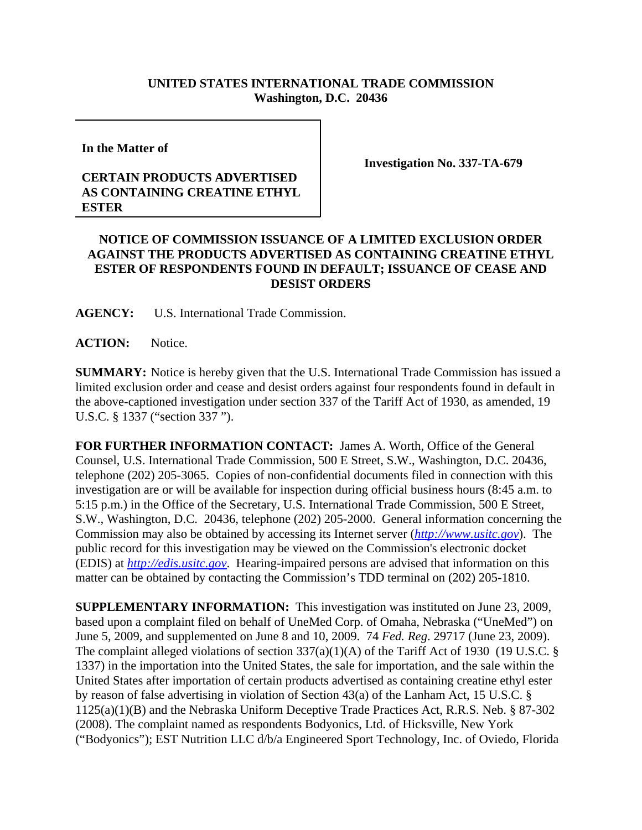## **UNITED STATES INTERNATIONAL TRADE COMMISSION Washington, D.C. 20436**

**In the Matter of**

## **CERTAIN PRODUCTS ADVERTISED AS CONTAINING CREATINE ETHYL ESTER**

**Investigation No. 337-TA-679**

## **NOTICE OF COMMISSION ISSUANCE OF A LIMITED EXCLUSION ORDER AGAINST THE PRODUCTS ADVERTISED AS CONTAINING CREATINE ETHYL ESTER OF RESPONDENTS FOUND IN DEFAULT; ISSUANCE OF CEASE AND DESIST ORDERS**

**AGENCY:** U.S. International Trade Commission.

**ACTION:** Notice.

**SUMMARY:** Notice is hereby given that the U.S. International Trade Commission has issued a limited exclusion order and cease and desist orders against four respondents found in default in the above-captioned investigation under section 337 of the Tariff Act of 1930, as amended, 19 U.S.C. § 1337 ("section 337 ").

**FOR FURTHER INFORMATION CONTACT:** James A. Worth, Office of the General Counsel, U.S. International Trade Commission, 500 E Street, S.W., Washington, D.C. 20436, telephone (202) 205-3065. Copies of non-confidential documents filed in connection with this investigation are or will be available for inspection during official business hours (8:45 a.m. to 5:15 p.m.) in the Office of the Secretary, U.S. International Trade Commission, 500 E Street, S.W., Washington, D.C. 20436, telephone (202) 205-2000. General information concerning the Commission may also be obtained by accessing its Internet server (*http://www.usitc.gov*). The public record for this investigation may be viewed on the Commission's electronic docket (EDIS) at *http://edis.usitc.gov*. Hearing-impaired persons are advised that information on this matter can be obtained by contacting the Commission's TDD terminal on (202) 205-1810.

**SUPPLEMENTARY INFORMATION:** This investigation was instituted on June 23, 2009, based upon a complaint filed on behalf of UneMed Corp. of Omaha, Nebraska ("UneMed") on June 5, 2009, and supplemented on June 8 and 10, 2009. 74 *Fed. Reg*. 29717 (June 23, 2009). The complaint alleged violations of section 337(a)(1)(A) of the Tariff Act of 1930 (19 U.S.C. § 1337) in the importation into the United States, the sale for importation, and the sale within the United States after importation of certain products advertised as containing creatine ethyl ester by reason of false advertising in violation of Section 43(a) of the Lanham Act, 15 U.S.C. § 1125(a)(1)(B) and the Nebraska Uniform Deceptive Trade Practices Act, R.R.S. Neb. § 87-302 (2008). The complaint named as respondents Bodyonics, Ltd. of Hicksville, New York ("Bodyonics"); EST Nutrition LLC d/b/a Engineered Sport Technology, Inc. of Oviedo, Florida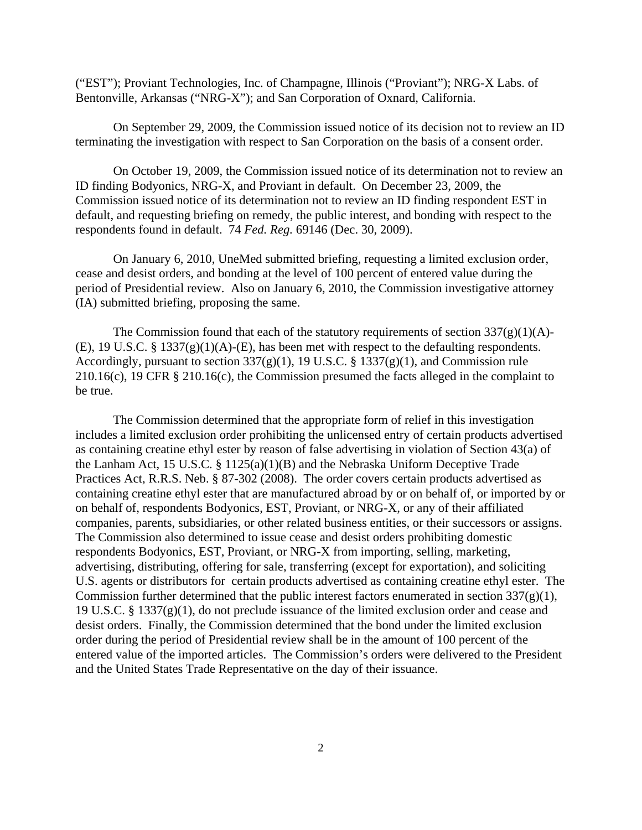("EST"); Proviant Technologies, Inc. of Champagne, Illinois ("Proviant"); NRG-X Labs. of Bentonville, Arkansas ("NRG-X"); and San Corporation of Oxnard, California.

On September 29, 2009, the Commission issued notice of its decision not to review an ID terminating the investigation with respect to San Corporation on the basis of a consent order.

On October 19, 2009, the Commission issued notice of its determination not to review an ID finding Bodyonics, NRG-X, and Proviant in default. On December 23, 2009, the Commission issued notice of its determination not to review an ID finding respondent EST in default, and requesting briefing on remedy, the public interest, and bonding with respect to the respondents found in default. 74 *Fed. Reg.* 69146 (Dec. 30, 2009).

On January 6, 2010, UneMed submitted briefing, requesting a limited exclusion order, cease and desist orders, and bonding at the level of 100 percent of entered value during the period of Presidential review. Also on January 6, 2010, the Commission investigative attorney (IA) submitted briefing, proposing the same.

The Commission found that each of the statutory requirements of section  $337(g)(1)(A)$ -(E), 19 U.S.C. § 1337 $(g)(1)(A)$ -(E), has been met with respect to the defaulting respondents. Accordingly, pursuant to section  $337(g)(1)$ , 19 U.S.C. § 1337(g)(1), and Commission rule 210.16(c), 19 CFR § 210.16(c), the Commission presumed the facts alleged in the complaint to be true.

The Commission determined that the appropriate form of relief in this investigation includes a limited exclusion order prohibiting the unlicensed entry of certain products advertised as containing creatine ethyl ester by reason of false advertising in violation of Section 43(a) of the Lanham Act, 15 U.S.C. § 1125(a)(1)(B) and the Nebraska Uniform Deceptive Trade Practices Act, R.R.S. Neb. § 87-302 (2008). The order covers certain products advertised as containing creatine ethyl ester that are manufactured abroad by or on behalf of, or imported by or on behalf of, respondents Bodyonics, EST, Proviant, or NRG-X, or any of their affiliated companies, parents, subsidiaries, or other related business entities, or their successors or assigns. The Commission also determined to issue cease and desist orders prohibiting domestic respondents Bodyonics, EST, Proviant, or NRG-X from importing, selling, marketing, advertising, distributing, offering for sale, transferring (except for exportation), and soliciting U.S. agents or distributors for certain products advertised as containing creatine ethyl ester. The Commission further determined that the public interest factors enumerated in section  $337(g)(1)$ , 19 U.S.C. § 1337(g)(1), do not preclude issuance of the limited exclusion order and cease and desist orders. Finally, the Commission determined that the bond under the limited exclusion order during the period of Presidential review shall be in the amount of 100 percent of the entered value of the imported articles. The Commission's orders were delivered to the President and the United States Trade Representative on the day of their issuance.